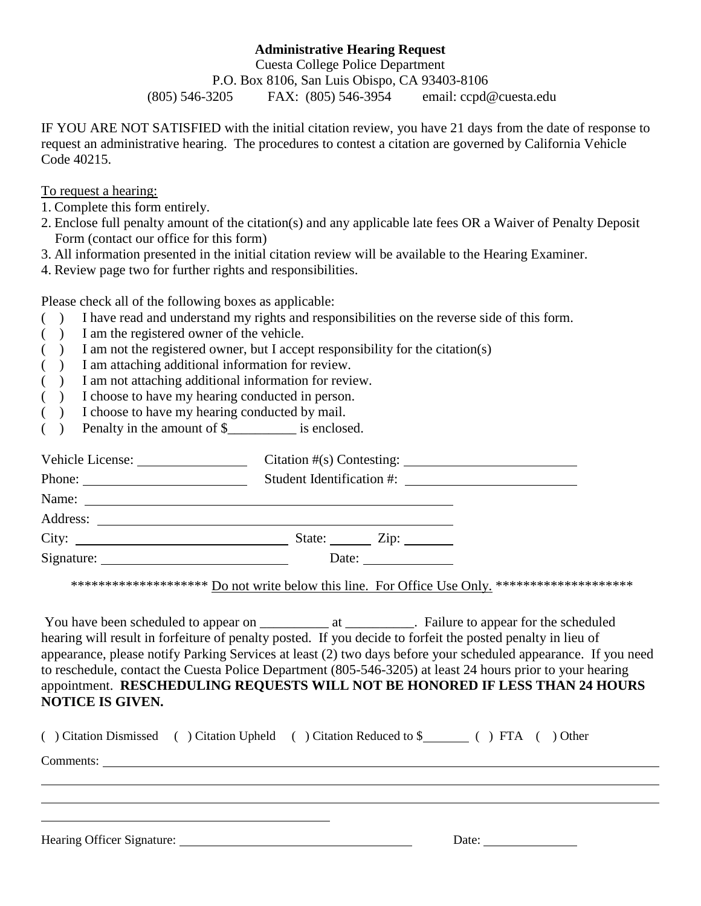## **Administrative Hearing Request**

Cuesta College Police Department P.O. Box 8106, San Luis Obispo, CA 93403-8106 (805) 546-3205 FAX: (805) 546-3954 email: ccpd@cuesta.edu

IF YOU ARE NOT SATISFIED with the initial citation review, you have 21 days from the date of response to request an administrative hearing. The procedures to contest a citation are governed by California Vehicle Code 40215.

To request a hearing:

- 1. Complete this form entirely.
- 2. Enclose full penalty amount of the citation(s) and any applicable late fees OR a Waiver of Penalty Deposit Form (contact our office for this form)
- 3. All information presented in the initial citation review will be available to the Hearing Examiner.
- 4. Review page two for further rights and responsibilities.

Please check all of the following boxes as applicable:

- ( ) I have read and understand my rights and responsibilities on the reverse side of this form.
- ( ) I am the registered owner of the vehicle.
- ( ) I am not the registered owner, but I accept responsibility for the citation(s)
- ( ) I am attaching additional information for review.
- ( ) I am not attaching additional information for review.
- ( ) I choose to have my hearing conducted in person.
- ( ) I choose to have my hearing conducted by mail.
- ( ) Penalty in the amount of \$\_\_\_\_\_\_\_\_\_\_ is enclosed.

| Name: |                                                          |  |
|-------|----------------------------------------------------------|--|
|       |                                                          |  |
| City: | State: $\angle$ Zip: $\angle$                            |  |
|       | Date: $\frac{1}{\sqrt{1-\frac{1}{2}} \cdot \frac{1}{2}}$ |  |

\*\*\*\*\*\*\*\*\*\*\*\*\*\*\*\*\*\*\*\*\*\*\* Do not write below this line. For Office Use Only. \*\*\*\*\*\*\*\*\*\*\*\*\*\*\*\*\*\*\*\*\*\*\*

You have been scheduled to appear on \_\_\_\_\_\_\_\_\_\_\_\_\_ at \_\_\_\_\_\_\_\_\_\_\_. Failure to appear for the scheduled hearing will result in forfeiture of penalty posted. If you decide to forfeit the posted penalty in lieu of appearance, please notify Parking Services at least (2) two days before your scheduled appearance. If you need to reschedule, contact the Cuesta Police Department (805-546-3205) at least 24 hours prior to your hearing appointment. **RESCHEDULING REQUESTS WILL NOT BE HONORED IF LESS THAN 24 HOURS NOTICE IS GIVEN.**

|  |           | ( ) Citation Dismissed ( ) Citation Upheld ( ) Citation Reduced to \$ ( ) FTA ( ) Other |  |
|--|-----------|-----------------------------------------------------------------------------------------|--|
|  | Comments: |                                                                                         |  |
|  |           |                                                                                         |  |
|  |           |                                                                                         |  |
|  |           |                                                                                         |  |
|  |           | Date:                                                                                   |  |